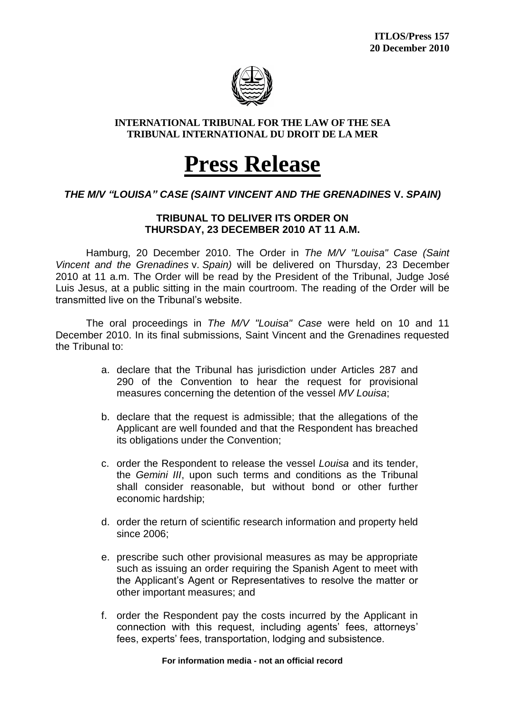

### **INTERNATIONAL TRIBUNAL FOR THE LAW OF THE SEA TRIBUNAL INTERNATIONAL DU DROIT DE LA MER**

# **Press Release**

## *THE M/V "LOUISA" CASE (SAINT VINCENT AND THE GRENADINES* **V.** *SPAIN)*

### **TRIBUNAL TO DELIVER ITS ORDER ON THURSDAY, 23 DECEMBER 2010 AT 11 A.M.**

Hamburg, 20 December 2010. The Order in *The M/V "Louisa" Case (Saint Vincent and the Grenadines* v. *Spain)* will be delivered on Thursday, 23 December 2010 at 11 a.m. The Order will be read by the President of the Tribunal, Judge José Luis Jesus, at a public sitting in the main courtroom. The reading of the Order will be transmitted live on the Tribunal's website.

The oral proceedings in *The M/V "Louisa" Case* were held on 10 and 11 December 2010. In its final submissions, Saint Vincent and the Grenadines requested the Tribunal to:

- a. declare that the Tribunal has jurisdiction under Articles 287 and 290 of the Convention to hear the request for provisional measures concerning the detention of the vessel *MV Louisa*;
- b. declare that the request is admissible; that the allegations of the Applicant are well founded and that the Respondent has breached its obligations under the Convention;
- c. order the Respondent to release the vessel *Louisa* and its tender, the *Gemini III*, upon such terms and conditions as the Tribunal shall consider reasonable, but without bond or other further economic hardship;
- d. order the return of scientific research information and property held since 2006;
- e. prescribe such other provisional measures as may be appropriate such as issuing an order requiring the Spanish Agent to meet with the Applicant's Agent or Representatives to resolve the matter or other important measures; and
- f. order the Respondent pay the costs incurred by the Applicant in connection with this request, including agents' fees, attorneys' fees, experts' fees, transportation, lodging and subsistence.

**For information media - not an official record**